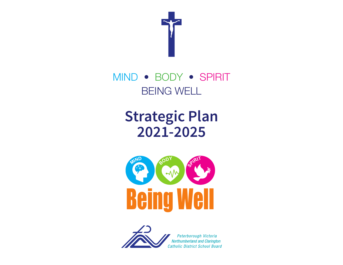

# MIND • BODY • SPIRIT BEING WELL

# **Strategic Plan 2021-2025**





Peterborough Victoria Northumberland and Clarington **Catholic District School Board**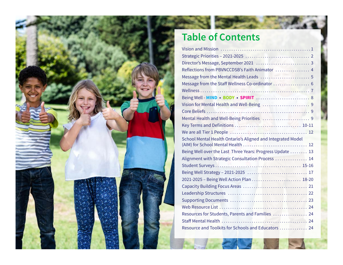

## **Table of Contents**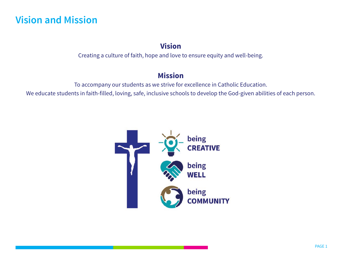## **Vision and Mission**

### **Vision**

Creating a culture of faith, hope and love to ensure equity and well-being.

### **Mission**

To accompany our students as we strive for excellence in Catholic Education.

We educate students in faith-filled, loving, safe, inclusive schools to develop the God-given abilities of each person.

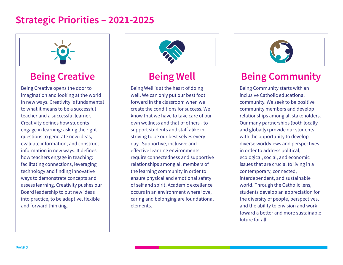## **Strategic Priorities – 2021-2025**



Being Creative opens the door to imagination and looking at the world in new ways. Creativity is fundamental to what it means to be a successful teacher and a successful learner. Creativity defines how students engage in learning: asking the right questions to generate new ideas, evaluate information, and construct information in new ways. It defines how teachers engage in teaching: facilitating connections, leveraging technology and finding innovative ways to demonstrate concepts and assess learning. Creativity pushes our Board leadership to put new ideas into practice, to be adaptive, flexible and forward thinking.



Being Well is at the heart of doing well. We can only put our best foot forward in the classroom when we create the conditions for success. We know that we have to take care of our own wellness and that of others - to support students and staff alike in striving to be our best selves every day. Supportive, inclusive and effective learning environments require connectedness and supportive relationships among all members of the learning community in order to ensure physical and emotional safety of self and spirit. Academic excellence occurs in an environment where love, caring and belonging are foundational elements.



## **Being Creative | | Being Well | Being Community**

Being Community starts with an inclusive Catholic educational community. We seek to be positive community members and develop relationships among all stakeholders. Our many partnerships (both locally and globally) provide our students with the opportunity to develop diverse worldviews and perspectives in order to address political, ecological, social, and economic issues that are crucial to living in a contemporary, connected, interdependent, and sustainable world. Through the Catholic lens, students develop an appreciation for the diversity of people, perspectives, and the ability to envision and work toward a better and more sustainable future for all.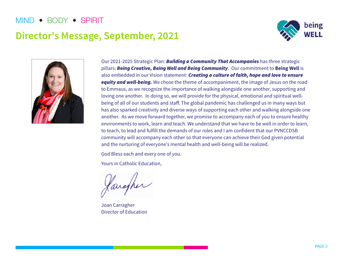## **Director's Message, September, 2021**





Our 2021-2025 Strategic Plan: **Building a Community That Accompanies** has three strategic pillars: Being Creative, Being Well and Being Community. Our commitment to **Being Well** is also embedded in our Vision statement: Creating a culture of faith, hope and love to ensure equity and well-being. We chose the theme of accompaniment, the image of Jesus on the road to Emmaus, as we recognize the importance of walking alongside one another, supporting and loving one another. In doing so, we will provide for the physical, emotional and spiritual wellbeing of all of our students and staff. The global pandemic has challenged us in many ways but has also sparked creativity and diverse ways of supporting each other and walking alongside one another. As we move forward together, we promise to accompany each of you to ensure healthy environments to work, learn and teach. We understand that we have to be well in order to learn, to teach, to lead and fulfill the demands of our roles and I am confident that our PVNCCDSB community will accompany each other so that everyone can achieve their God given potential and the nurturing of everyone's mental health and well-being will be realized.

God Bless each and every one of you.

Yours in Catholic Education,

Jarsoper

Joan Carragher Director of Education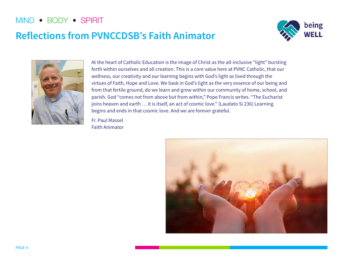## **Reflections from PVNCCDSB's Faith Animator**





At the heart of Catholic Education is the image of Christ as the all-inclusive "light" bursting forth within ourselves and all creation. This is a core value here at PVNC Catholic, that our wellness, our creativity and our learning begins with God's light as lived through the virtues of Faith, Hope and Love. We bask in God's light as the very essence of our being and from that fertile ground, do we learn and grow within our community of home, school, and parish. God "comes not from above but from within," Pope Francis writes. "The Eucharist joins heaven and earth ... it is itself, an act of cosmic love." (Laudato Si 236) Learning begins and ends in that cosmic love. And we are forever grateful.

Fr. Paul Massel Faith Animator

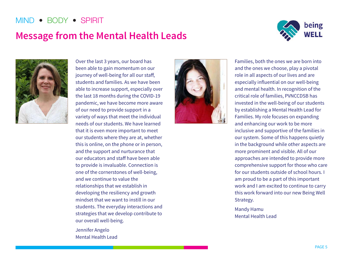## **Message from the Mental Health Leads**





Over the last 3 years, our board has been able to gain momentum on our journey of well-being for all our staff, students and families. As we have been able to increase support, especially over the last 18 months during the COVID-19 pandemic, we have become more aware of our need to provide support in a variety of ways that meet the individual needs of our students. We have learned that it is even more important to meet our students where they are at, whether this is online, on the phone or in person, and the support and nurturance that our educators and staff have been able to provide is invaluable. Connection is one of the cornerstones of well-being, and we continue to value the relationships that we establish in developing the resiliency and growth mindset that we want to instill in our students. The everyday interactions and strategies that we develop contribute to our overall well-being.

Jennifer Angelo Mental Health Lead



Families, both the ones we are born into and the ones we choose, play a pivotal role in all aspects of our lives and are especially influential on our well-being and mental health. In recognition of the critical role of families, PVNCCDSB has invested in the well-being of our students by establishing a Mental Health Lead for Families. My role focuses on expanding and enhancing our work to be more inclusive and supportive of the families in our system. Some of this happens quietly in the background while other aspects are more prominent and visible. All of our approaches are intended to provide more comprehensive support for those who care for our students outside of school hours. I am proud to be a part of this important work and I am excited to continue to carry this work forward into our new Being Well Strategy.

Mandy Hamu Mental Health Lead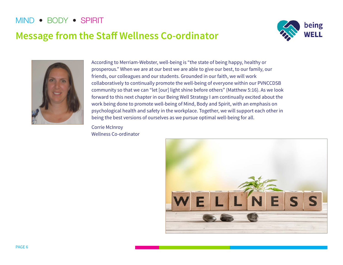## **Message from the Staff Wellness Co-ordinator**





According to Merriam-Webster, well-being is "the state of being happy, healthy or prosperous." When we are at our best we are able to give our best, to our family, our friends, our colleagues and our students. Grounded in our faith, we will work collaboratively to continually promote the well-being of everyone within our PVNCCDSB community so that we can "let [our] light shine before others" (Matthew 5:16). As we look forward to this next chapter in our Being Well Strategy I am continually excited about the work being done to promote well-being of Mind, Body and Spirit, with an emphasis on psychological health and safety in the workplace. Together, we will support each other in being the best versions of ourselves as we pursue optimal well-being for all.

Corrie McInroy Wellness Co-ordinator

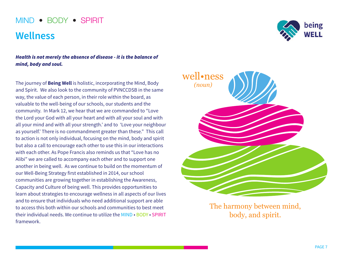## **Wellness**

Health is not merely the absence of disease - it is the balance of mind, body and soul.

The journey of **Being Well** is holistic, incorporating the Mind, Body and Spirit. We also look to the community of PVNCCDSB in the same way, the value of each person, in their role within the board, as valuable to the well-being of our schools, our students and the community. In Mark 12, we hear that we are commanded to "Love the Lord your God with all your heart and with all your soul and with all your mind and with all your strength.' and to 'Love your neighbour as yourself.' There is no commandment greater than these." This call to action is not only individual, focusing on the mind, body and spirit but also a call to encourage each other to use this in our interactions with each other. As Pope Francis also reminds us that "Love has no Alibi" we are called to accompany each other and to support one another in being well. As we continue to build on the momentum of our Well-Being Strategy first established in 2014, our school communities are growing together in establishing the Awareness, Capacity and Culture of being well. This provides opportunities to learn about strategies to encourage wellness in all aspects of our lives and to ensure that individuals who need additional support are able to access this both within our schools and communities to best meet their individual needs. We continue to utilize the MIND • BODY • SPIRIT framework.





The harmony between mind, body, and spirit.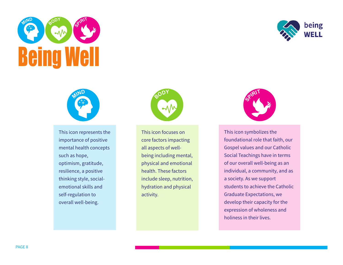





This icon represents the importance of positive mental health concepts such as hope, optimism, gratitude, resilience, a positive thinking style, socialemotional skills and self-regulation to overall well-being.



This icon focuses on core factors impacting all aspects of wellbeing including mental, physical and emotional health. These factors include sleep, nutrition, hydration and physical activity.



This icon symbolizes the foundational role that faith, our Gospel values and our Catholic Social Teachings have in terms of our overall well-being as an individual, a community, and as a society. As we support students to achieve the Catholic Graduate Expectations, we develop their capacity for the expression of wholeness and holiness in their lives.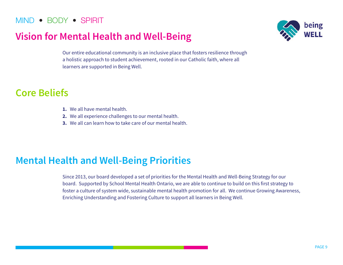## **Vision for Mental Health and Well-Being**



Our entire educational community is an inclusive place that fosters resilience through a holistic approach to student achievement, rooted in our Catholic faith, where all learners are supported in Being Well.

## **Core Beliefs**

- **1.** We all have mental health.
- **2.** We all experience challenges to our mental health.
- **3.** We all can learn how to take care of our mental health.

## **Mental Health and Well-Being Priorities**

Since 2013, our board developed a set of priorities for the Mental Health and Well-Being Strategy for our board. Supported by School Mental Health Ontario, we are able to continue to build on this first strategy to foster a culture of system wide, sustainable mental health promotion for all. We continue Growing Awareness, Enriching Understanding and Fostering Culture to support all learners in Being Well.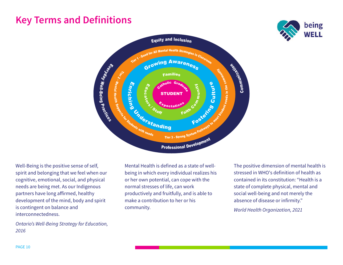## **Key Terms and Definitions**





Well-Being is the positive sense of self, spirit and belonging that we feel when our cognitive, emotional, social, and physical needs are being met. As our Indigenous partners have long affirmed, healthy development of the mind, body and spirit is contingent on balance and interconnectedness.

Ontario's Well-Being Strategy for Education, 2016

Mental Health is defined as a state of wellbeing in which every individual realizes his or her own potential, can cope with the normal stresses of life, can work productively and fruitfully, and is able to make a contribution to her or his community.

The positive dimension of mental health is stressed in WHO's definition of health as contained in its constitution: "Health is a state of complete physical, mental and social well-being and not merely the absence of disease or infirmity."

World Health Organization, 2021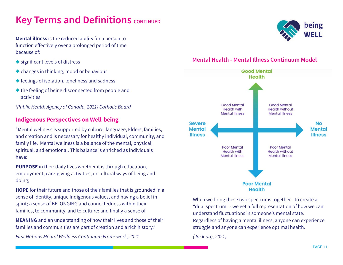## **Key Terms and Definitions CONTINUED**

**Mental illness** is the reduced ability for a person to function effectively over a prolonged period of time because of:

- $\bullet$  significant levels of distress
- $\triangle$  changes in thinking, mood or behaviour
- $\blacklozenge$  feelings of isolation, loneliness and sadness
- $\triangle$  the feeling of being disconnected from people and activities

(Public Health Agency of Canada, 2021) Catholic Board

#### **Indigenous Perspectives on Well-being**

"Mental wellness is supported by culture, language, Elders, families, and creation and is necessary for healthy individual, community, and family life. Mental wellness is a balance of the mental, physical, spiritual, and emotional. This balance is enriched as individuals have:

**PURPOSE** in their daily lives whether it is through education, employment, care-giving activities, or cultural ways of being and doing;

**HOPE** for their future and those of their families that is grounded in a sense of identity, unique Indigenous values, and having a belief in spirit; a sense of BELONGING and connectedness within their families, to community, and to culture; and finally a sense of

**MEANING** and an understanding of how their lives and those of their families and communities are part of creation and a rich history."

First Nations Mental Wellness Continuum Framework, 2021



#### **Mental Health - Mental Illness Continuum Model**



When we bring these two spectrums together - to create a "dual spectrum" - we get a full representation of how we can understand fluctuations in someone's mental state. Regardless of having a mental illness, anyone can experience struggle and anyone can experience optimal health.

(Jack.org, 2021)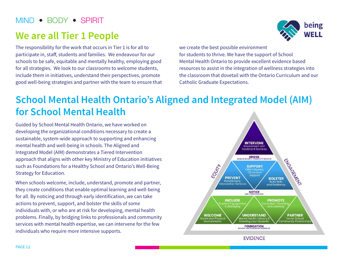## **We are all Tier 1 People**

The responsibility for the work that occurs in Tier 1 is for all to participate in, staff, students and families. We endeavour for our schools to be safe, equitable and mentally healthy, employing good for all strategies. We look to our classrooms to welcome students, include them in initiatives, understand their perspectives, promote good well-being strategies and partner with the team to ensure that



we create the best possible environment for students to thrive. We have the support of School Mental Health Ontario to provide excellent evidence based resources to assist in the integration of wellness strategies into the classroom that dovetail with the Ontario Curriculum and our Catholic Graduate Expectations.

## **School Mental Health Ontario's Aligned and Integrated Model (AIM) for School Mental Health**

Guided by School Mental Health Ontario, we have worked on developing the organizational conditions necessary to create a sustainable, system-wide approach to supporting and enhancing mental health and well-being in schools. The Aligned and Integrated Model (AIM) demonstrates a Tiered Intervention approach that aligns with other key Ministry of Education initiatives such as Foundations for a Healthy School and Ontario's Well-Being Strategy for Education.

When schools welcome, include, understand, promote and partner, they create conditions that enable optimal learning and well-being for all. By noticing and through early identification, we can take actions to prevent, support, and bolster the skills of some individuals with, or who are at risk for developing, mental health problems. Finally, by bridging links to professionals and community services with mental health expertise, we can intervene for the few individuals who require more intensive supports.

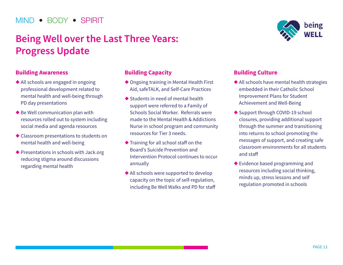## **Being Well over the Last Three Years: Progress Update**

#### **Building Awareness**

- $\triangle$  All schools are engaged in ongoing professional development related to mental health and well-being through PD day presentations
- $\blacklozenge$  Be Well communication plan with resources rolled out to system including social media and agenda resources
- $\triangle$  Classroom presentations to students on mental health and well-being
- $\blacklozenge$  Presentations in schools with Jack.org reducing stigma around discussions regarding mental health

### **Building Capacity**

- ◆ Ongoing training in Mental Health First Aid, safeTALK, and Self-Care Practices
- $\blacklozenge$  Students in need of mental health support were referred to a Family of Schools Social Worker. Referrals were made to the Mental Health & Addictions Nurse in school program and community resources for Tier 3 needs.
- $\blacklozenge$  Training for all school staff on the Board's Suicide Prevention and Intervention Protocol continues to occur annually
- $\blacklozenge$  All schools were supported to develop capacity on the topic of self-regulation, including Be Well Walks and PD for staff



#### **Building Culture**

- $\triangle$  All schools have mental health strategies embedded in their Catholic School Improvement Plans for Student Achievement and Well-Being
- ◆ Support through COVID-19 school closures, providing additional support through the summer and transitioning into returns to school promoting the messages of support, and creating safe classroom environments for all students and staff
- $\blacklozenge$  Evidence based programming and resources including social thinking, minds up, stress lessons and self regulation promoted in schools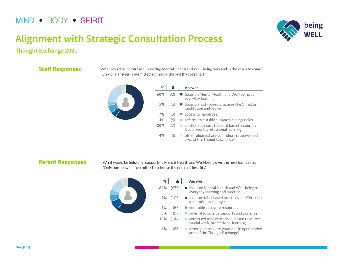

## **Alignment with Strategic Consultation Process**

#### **Thought Exchange 2021**

#### **Staff Responses**

What would be helpful in supporting Mental Health and Well-being now and in the years to come? (Only one answer is permitted so choose the one that best fits)



#### **Parent Responses**

What would be helpful in supporting Mental Health and Well-being over the next four years? (Only one answer is permitted so choose the one that best fits)



| %   |       | Answer                                                                                |
|-----|-------|---------------------------------------------------------------------------------------|
| 61% | (675) | ■ focus on Mental Health and Well-being as<br>everyday learning and practice          |
| 9%  | (105) | $\blacksquare$ focus on faith-based practices like Christian<br>meditation and prayer |
| 6%  | (67)  | $\blacksquare$ equitable access to resources                                          |
| 5%  | (57)  | $\blacksquare$ referral to outside supports and agencies                              |
| 13% | (144) | continued access to school based resources<br>(social work, professional learning,    |
| 6%  | (66)  | other (please share your idea in open-ended<br>area of the ThoughtExchange)           |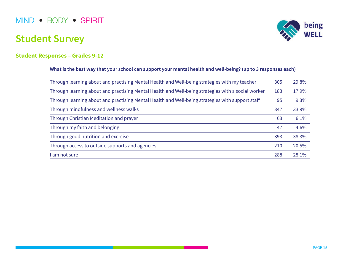## **Student Survey**



#### **Student Responses – Grades 9-12**

#### **What is the best way that your school can support your mental health and well-being? (up to 3 responses each)**

| Through learning about and practising Mental Health and Well-being strategies with my teacher      | 305 | 29.8% |
|----------------------------------------------------------------------------------------------------|-----|-------|
| Through learning about and practising Mental Health and Well-being strategies with a social worker | 183 | 17.9% |
| Through learning about and practising Mental Health and Well-being strategies with support staff   | 95  | 9.3%  |
| Through mindfulness and wellness walks                                                             | 347 | 33.9% |
| Through Christian Meditation and prayer                                                            | 63  | 6.1%  |
| Through my faith and belonging                                                                     | 47  | 4.6%  |
| Through good nutrition and exercise                                                                | 393 | 38.3% |
| Through access to outside supports and agencies                                                    | 210 | 20.5% |
| I am not sure                                                                                      | 288 | 28.1% |
|                                                                                                    |     |       |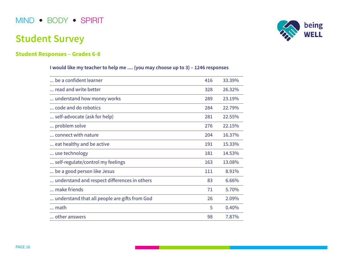## **Student Survey**

### **Student Responses – Grades 6-8**

**I would like my teacher to help me .... (you may choose up to 3) – 1246 responses**

| be a confident learner                        | 416 | 33.39% |
|-----------------------------------------------|-----|--------|
| read and write better                         | 328 | 26.32% |
| understand how money works                    | 289 | 23.19% |
| code and do robotics                          | 284 | 22.79% |
| self-advocate (ask for help)                  | 281 | 22.55% |
| problem solve                                 | 276 | 22.15% |
| connect with nature                           | 204 | 16.37% |
| eat healthy and be active                     | 191 | 15.33% |
| use technology                                | 181 | 14.53% |
| self-regulate/control my feelings             | 163 | 13.08% |
| be a good person like Jesus                   | 111 | 8.91%  |
| understand and respect differences in others  | 83  | 6.66%  |
| make friends                                  | 71  | 5.70%  |
| understand that all people are gifts from God | 26  | 2.09%  |
| math                                          | 5   | 0.40%  |
| other answers                                 | 98  | 7.87%  |

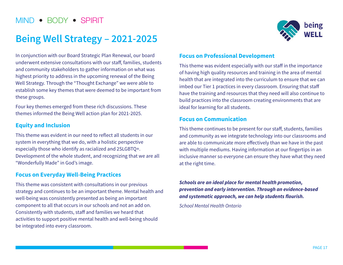## **Being Well Strategy – 2021-2025**



In conjunction with our Board Strategic Plan Renewal, our board underwent extensive consultations with our staff, families, students and community stakeholders to gather information on what was highest priority to address in the upcoming renewal of the Being Well Strategy. Through the "Thought Exchange" we were able to establish some key themes that were deemed to be important from these groups.

Four key themes emerged from these rich discussions. These themes informed the Being Well action plan for 2021-2025.

#### **Equity and Inclusion**

This theme was evident in our need to reflect all students in our system in everything that we do, with a holistic perspective especially those who identify as racialized and 2SLGBTQ+. Development of the whole student, and recognizing that we are all "Wonderfully Made" in God's image.

#### **Focus on Everyday Well-Being Practices**

This theme was consistent with consultations in our previous strategy and continues to be an important theme. Mental health and well-being was consistently presented as being an important component to all that occurs in our schools and not an add on. Consistently with students, staff and families we heard that activities to support positive mental health and well-being should be integrated into every classroom.

#### **Focus on Professional Development**

This theme was evident especially with our staff in the importance of having high quality resources and training in the area of mental health that are integrated into the curriculum to ensure that we can imbed our Tier 1 practices in every classroom. Ensuring that staff have the training and resources that they need will also continue to build practices into the classroom creating environments that are ideal for learning for all students.

#### **Focus on Communication**

This theme continues to be present for our staff, students, families and community as we integrate technology into our classrooms and are able to communicate more effectively than we have in the past with multiple mediums. Having information at our fingertips in an inclusive manner so everyone can ensure they have what they need at the right time.

**Schools are an ideal place for mental health promotion, prevention and early intervention. Through an evidence-based and systematic approach, we can help students flourish.**

School Mental Health Ontario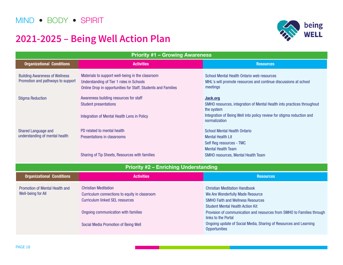## **2021-2025 – Being Well Action Plan**



| <b>Priority #1 - Growing Awareness</b>                                     |                                                                                                                                                               |                                                                                                                           |  |
|----------------------------------------------------------------------------|---------------------------------------------------------------------------------------------------------------------------------------------------------------|---------------------------------------------------------------------------------------------------------------------------|--|
| <b>Organizational Conditions</b>                                           | <b>Activities</b>                                                                                                                                             | <b>Resources</b>                                                                                                          |  |
| <b>Building Awareness of Wellness</b><br>Promotion and pathways to support | Materials to support well-being in the classroom<br>Understanding of Tier 1 roles in Schools<br>Online Drop in opportunities for Staff, Students and Families | School Mental Health Ontario web resources<br>MHL's will promote resources and continue discussions at school<br>meetings |  |
| <b>Stigma Reduction</b>                                                    | Awareness building resources for staff<br><b>Student presentations</b>                                                                                        | Jack.org<br>SMHO resources, integration of Mental Health into practices throughout<br>the system                          |  |
|                                                                            | Integration of Mental Health Lens in Policy                                                                                                                   | Integration of Being Well into policy review for stigma reduction and<br>normalization                                    |  |
| Shared Language and                                                        | PD related to mental health                                                                                                                                   | <b>School Mental Health Ontario</b>                                                                                       |  |
| understanding of mental health                                             | Presentations in classrooms                                                                                                                                   | <b>Mental Health Lit</b>                                                                                                  |  |
|                                                                            |                                                                                                                                                               | Self Reg resources - TMC                                                                                                  |  |
|                                                                            |                                                                                                                                                               | <b>Mental Health Team</b>                                                                                                 |  |
|                                                                            | Sharing of Tip Sheets, Resources with families                                                                                                                | SMHO resources, Mental Health Team                                                                                        |  |
|                                                                            | <b>Priority #2 - Enriching Understanding</b>                                                                                                                  |                                                                                                                           |  |
| <b>Organizational Conditions</b>                                           | <b>Activities</b>                                                                                                                                             | <b>Resources</b>                                                                                                          |  |
| <b>Promotion of Mental Health and</b>                                      | <b>Christian Meditation</b>                                                                                                                                   | <b>Christian Meditation Handbook</b>                                                                                      |  |
| <b>Well-being for All</b>                                                  | Curriculum connections to equity in classroom                                                                                                                 | We Are Wonderfully Made Resource                                                                                          |  |
|                                                                            | <b>Curriculum linked SEL resources</b>                                                                                                                        | <b>SMHO Faith and Wellness Resources</b>                                                                                  |  |
|                                                                            |                                                                                                                                                               | <b>Student Mental Health Action Kit</b>                                                                                   |  |
|                                                                            | Ongoing communication with families                                                                                                                           | Provision of communication and resources from SMHO to Families through<br>links to the Portal                             |  |
|                                                                            | Social Media Promotion of Being Well                                                                                                                          | Ongoing update of Social Media, Sharing of Resources and Learning<br><b>Opportunities</b>                                 |  |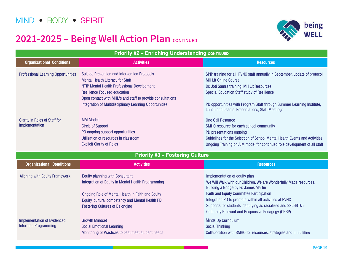## **2021-2025 – Being Well Action Plan CONTINUED**



| <b>Priority #2 - Enriching Understanding CONTINUED</b>            |                                                                                                                                                                                                                                                                                                                |                                                                                                                                                                                                                                                                                                                                                                                        |  |
|-------------------------------------------------------------------|----------------------------------------------------------------------------------------------------------------------------------------------------------------------------------------------------------------------------------------------------------------------------------------------------------------|----------------------------------------------------------------------------------------------------------------------------------------------------------------------------------------------------------------------------------------------------------------------------------------------------------------------------------------------------------------------------------------|--|
| <b>Organizational Conditions</b>                                  | <b>Activities</b>                                                                                                                                                                                                                                                                                              | <b>Resources</b>                                                                                                                                                                                                                                                                                                                                                                       |  |
| <b>Professional Learning Opportunities</b>                        | <b>Suicide Prevention and Intervention Protocols</b><br><b>Mental Health Literacy for Staff</b><br>NTIP Mental Health Professional Development<br><b>Resilience Focused education</b><br>Open contact with MHL's and staff to provide consultations<br>Integration of Multidisciplinary Learning Opportunities | SPIP training for all PVNC staff annually in September, update of protocol<br><b>MH Lit Online Course</b><br>Dr. Joti Samra training, MH Lit Resources<br>Special Education Staff study of Resilience<br>PD opportunities with Program Staff through Summer Learning Institute,<br>Lunch and Learns, Presentations, Staff Meetings                                                     |  |
| <b>Clarity in Roles of Staff for</b><br>Implementation            | <b>AIM Model</b><br><b>Circle of Support</b><br>PD ongoing support opportunities<br>Utilization of resources in classroom<br><b>Explicit Clarity of Roles</b>                                                                                                                                                  | <b>One Call Resource</b><br>SMHO resource for each school community<br>PD presentations ongoing<br>Guidelines for the Selection of School Mental Health Events and Activities<br>Ongoing Training on AIM model for continued role development of all staff                                                                                                                             |  |
|                                                                   | <b>Priority #3 - Fostering Culture</b>                                                                                                                                                                                                                                                                         |                                                                                                                                                                                                                                                                                                                                                                                        |  |
| <b>Organizational Conditions</b>                                  | <b>Activities</b>                                                                                                                                                                                                                                                                                              | <b>Resources</b>                                                                                                                                                                                                                                                                                                                                                                       |  |
| <b>Aligning with Equity Framework</b>                             | <b>Equity planning with Consultant</b><br>Integration of Equity in Mental Health Programming<br>Ongoing Role of Mental Health in Faith and Equity<br>Equity, cultural competency and Mental Health PD<br><b>Fostering Cultures of Belonging</b>                                                                | Implementation of equity plan<br>We Will Walk with our Children, We are Wonderfully Made resources,<br>Building a Bridge by Fr. James Martin<br><b>Faith and Equity Committee Participation</b><br>Integrated PD to promote within all activities at PVNC<br>Supports for students identifying as racialized and 2SLGBTQ+<br><b>Culturally Relevant and Responsive Pedagogy (CRRP)</b> |  |
| <b>Implementation of Evidenced</b><br><b>Informed Programming</b> | <b>Growth Mindset</b><br><b>Social Emotional Learning</b><br>Monitoring of Practices to best meet student needs                                                                                                                                                                                                | <b>Minds Up Curriculum</b><br><b>Social Thinking</b><br>Collaboration with SMHO for resources, strategies and modalities                                                                                                                                                                                                                                                               |  |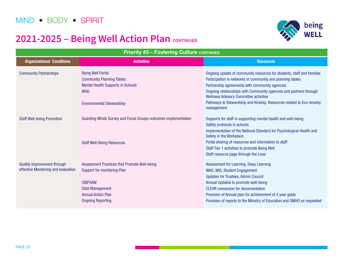## **2021-2025 – Being Well Action Plan CONTINUED**



| <b>Priority #3 - Fostering Culture CONTINUED</b>                          |                                                                                                                                                                                                |                                                                                                                                                                                                                                                                                                                                                                                                      |  |
|---------------------------------------------------------------------------|------------------------------------------------------------------------------------------------------------------------------------------------------------------------------------------------|------------------------------------------------------------------------------------------------------------------------------------------------------------------------------------------------------------------------------------------------------------------------------------------------------------------------------------------------------------------------------------------------------|--|
| <b>Organizational Conditions</b>                                          | <b>Activities</b>                                                                                                                                                                              | <b>Resources</b>                                                                                                                                                                                                                                                                                                                                                                                     |  |
| <b>Community Partnerships</b>                                             | <b>Being Well Portal</b><br><b>Community Planning Tables</b><br><b>Mental Health Supports in Schools</b><br><b>WAG</b><br><b>Environmental Stewardship</b>                                     | Ongoing update of community resources for students, staff and families<br>Participation in networks in community and planning tables<br>Partnership agreements with community agencies<br>Ongoing relationships with Community agencies and partners through<br><b>Wellness Advisory Committee activities</b><br>Pathways to Stewardship and Kinship, Resources related to Eco-Anxiety<br>management |  |
| <b>Staff Well-being Promotion</b>                                         | <b>Guarding Minds Survey and Focus Groups outcomes implementation</b><br><b>Staff Well-Being Resources</b>                                                                                     | Supports for staff in supporting mental health and well-being<br>Safety protocols in schools<br>Implementation of the National Standard for Psychological Health and<br>Safety in the Workplace<br>Portal sharing of resources and information to staff<br>Staff Tier 1 activities to promote Being Well<br>Staff resource page through the Loop                                                     |  |
| <b>Quality Improvement through</b><br>effective Monitoring and evaluation | <b>Assessment Practices that Promote Well-being</b><br><b>Support for monitoring Plan</b><br><b>CBIPSAW</b><br><b>Data Management</b><br><b>Annual Action Plan</b><br><b>Ongoing Reporting</b> | Assessment for Learning, Deep Learning<br>WAG. WIG, Student Engagement<br><b>Updates for Trustees, Admin Council</b><br>Annual Updates to promote well-being<br><b>CLEVR</b> conversion for documentation<br>Provision of Annual plan for achievement of 4 year goals<br>Provision of reports to the Ministry of Education and SMHO as requested                                                     |  |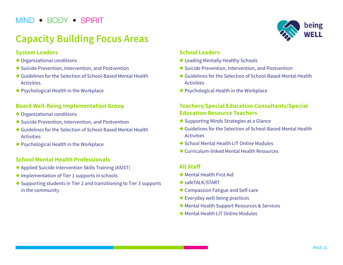## **Capacity Building Focus Areas**

#### **System Leaders**

- $\blacklozenge$  Organizational conditions
- $\blacklozenge$  Suicide Prevention, Intervention, and Postvention
- $\triangle$  Guidelines for the Selection of School-Based Mental Health **Activities**
- $\blacklozenge$  Psychological Health in the Workplace

#### **Board Well-Being Implementation Group**

- $\blacklozenge$  Organizational conditions
- $\blacklozenge$  Suicide Prevention, Intervention, and Postvention
- $\bullet$  Guidelines for the Selection of School-Based Mental Health **Activities**
- $\blacklozenge$  Psychological Health in the Workplace

#### **School Mental Health Professionals**

- $\blacklozenge$  Applied Suicide Intervention Skills Training (ASIST)
- $\blacklozenge$  Implementation of Tier 1 supports in schools
- $\triangle$  Supporting students in Tier 2 and transitioning to Tier 3 supports in the community



#### **School Leaders**

- $\blacklozenge$  Leading Mentally Healthy Schools
- $\blacklozenge$  Suicide Prevention, Intervention, and Postvention
- $\triangle$  Guidelines for the Selection of School-Based Mental Health **Activities**
- $\blacklozenge$  Psychological Health in the Workplace

### **Teachers/Special Education Consultants/Special Education Resource Teachers**

- $\blacklozenge$  Supporting Minds Strategies at a Glance
- $\triangle$  Guidelines for the Selection of School-Based Mental Health **Activities**
- ◆ School Mental Health LIT Online Modules
- $\triangle$  Curriculum-linked Mental Health Resources

#### **All Staff**

- $\blacklozenge$  Mental Health First Aid
- $\blacklozenge$  safeTALK/START
- $\triangle$  Compassion Fatigue and Self-care
- $\blacklozenge$  Everyday well-being practices
- ◆ Mental Health Support Resources & Services
- $\blacklozenge$  Mental Health LIT Online Modules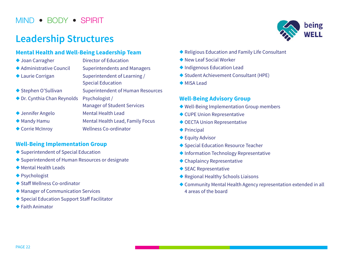## **Leadership Structures**

#### **Mental Health and Well-Being Leadership Team**

| ◆ Joan Carragher            | <b>Director of Education</b>                             |
|-----------------------------|----------------------------------------------------------|
| ◆ Administrative Council    | <b>Superintendents and Managers</b>                      |
| ◆ Laurie Corrigan           | Superintendent of Learning /<br><b>Special Education</b> |
| ◆ Stephen O'Sullivan        | <b>Superintendent of Human Resources</b>                 |
| ◆ Dr. Cynthia Chan Reynolds | Psychologist /<br><b>Manager of Student Services</b>     |
| ◆ Jennifer Angelo           | <b>Mental Health Lead</b>                                |
| ◆ Mandy Hamu                | Mental Health Lead, Family Focus                         |
| ◆ Corrie McInroy            | <b>Wellness Co-ordinator</b>                             |

#### **Well-Being Implementation Group**

- $\blacklozenge$  Superintendent of Special Education
- $\blacklozenge$  Superintendent of Human Resources or designate
- $\blacklozenge$  Mental Health Leads
- $\blacklozenge$  Psychologist
- $\triangle$  Staff Wellness Co-ordinator
- $\blacklozenge$  Manager of Communication Services
- ◆ Special Education Support Staff Facilitator
- $\triangle$  Faith Animator



- $\blacklozenge$  Religious Education and Family Life Consultant
- $\blacklozenge$  New Leaf Social Worker
- $\blacklozenge$  Indigenous Education Lead
- ◆ Student Achievement Consultant (HPE)
- $\blacklozenge$  MISA Lead

#### **Well-Being Advisory Group**

- $\blacklozenge$  Well-Being Implementation Group members
- $\triangle$  CUPE Union Representative
- $\blacklozenge$  OECTA Union Representative
- $\blacklozenge$  Principal
- $\blacklozenge$  Equity Advisor
- ◆ Special Education Resource Teacher
- ◆ Information Technology Representative
- $\blacklozenge$  Chaplaincy Representative
- $\blacklozenge$  SEAC Representative
- ◆ Regional Healthy Schools Liaisons
- $\triangle$  Community Mental Health Agency representation extended in all 4 areas of the board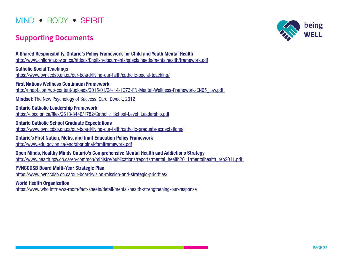### **Supporting Documents**



<https://www.pvnccdsb.on.ca/our-board/vision-mission-and-strategic-priorities/>

**World Health Organization** <https://www.who.int/news-room/fact-sheets/detail/mental-health-strengthening-our-response>

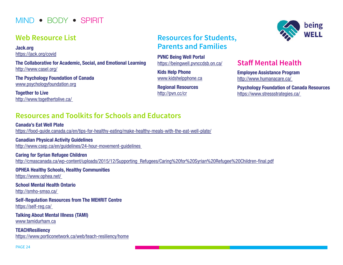### **Web Resource List**

**Jack.org** <https://jack.org/covid>

**The Collaborative for Academic, Social, and Emotional Learning** <http://www.casel.org/>

**The Psychology Foundation of Canada** <www.psychologyfoundation.org>

**Together to Live** [http://www.togethertolive.ca/](http://www.togethertolive.ca/ ) 

### **Resources for Students, Parents and Families**

**PVNC Being Well Portal** <https://beingwell.pvnccdsb.on.ca/>

**Kids Help Phone** <www.kidshelpphone.ca>

**Regional Resources** <http://pvn.cc/cr>

### **Staff Mental Health**

**Employee Assistance Program** [http://www.humanacare.ca/](http://www.humanacare.ca/ ) 

**Psychology Foundation of Canada Resources** [https://www.stressstrategies.ca/](https://www.stressstrategies.ca/ ) 

## **Resources and Toolkits for Schools and Educators**

**Canada's Eat Well Plate**  <https://food-guide.canada.ca/en/tips-for-healthy-eating/make-healthy-meals-with-the-eat-well-plate/>

**Canadian Physical Activity Guidelines** http://www.csep.ca/en/guidelines/24-hour-movement-guidelines

**Caring for Syrian Refugee Children** [http://cmascanada.ca/wp-content/uploads/2015/12/Supporting\\_Refugees/Caring%20for%20Syrian%20Refugee%20Children-final.pdf](http://cmascanada.ca/wp-content/uploads/2015/12/Supporting_Refugees/Caring%20for%20Syrian%20Refugee%20Children-final.pdf)

**OPHEA Healthy Schools, Healthy Communities** [https://www.ophea.net/](https://www.ophea.net/ ) 

**School Mental Health Ontario** [http://smho-smso.ca/](http://smho-smso.ca/ ) 

**Self-Regulation Resources from The MEHRIT Centre** [https://self-reg.ca/](https://self-reg.ca/ ) 

**Talking About Mental Illness (TAMI)** <www.tamidurham.ca>

**TEACHResiliency** <https://www.porticonetwork.ca/web/teach-resiliency/home>

PAGE 24

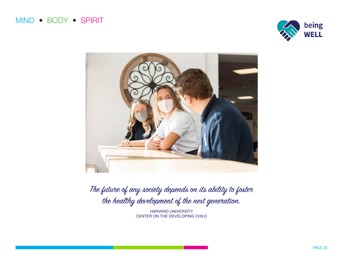



The future of any society depends on its ability to foster the healthy development of the next generation.

> HARVARD UNIVERSITY CENTER ON THE DEVELOPING CHILD